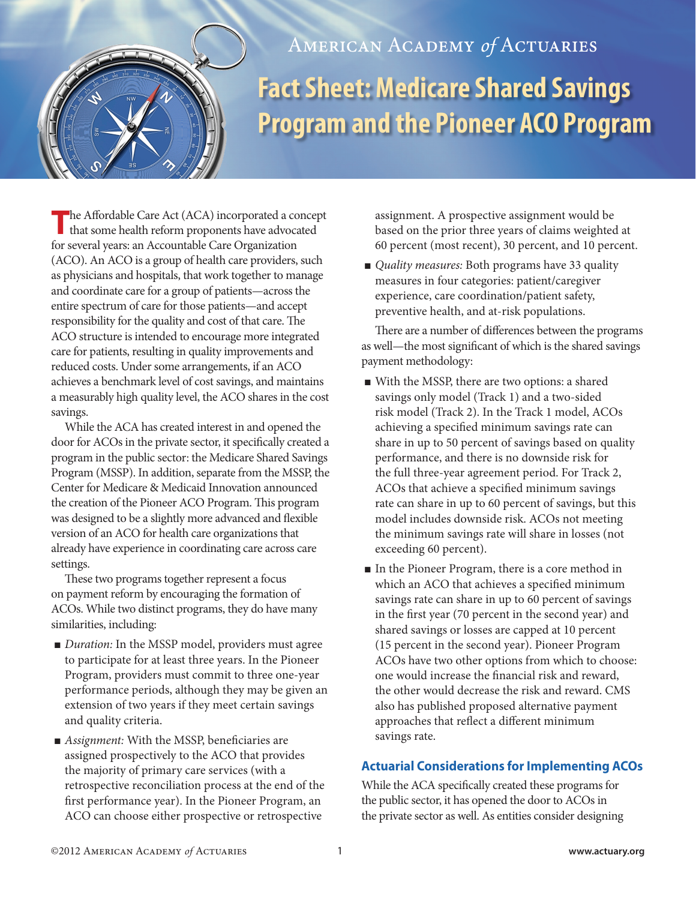

## AMERICAN ACADEMY of ACTUARIES **Fact Sheet: Medicare Shared Savings Program and the Pioneer ACO Program**

The Affordable Care Act (ACA) incorporated a concept that some health reform proponents have advocated for several years: an Accountable Care Organization (ACO). An ACO is a group of health care providers, such as physicians and hospitals, that work together to manage and coordinate care for a group of patients—across the entire spectrum of care for those patients—and accept responsibility for the quality and cost of that care. The ACO structure is intended to encourage more integrated care for patients, resulting in quality improvements and reduced costs. Under some arrangements, if an ACO achieves a benchmark level of cost savings, and maintains a measurably high quality level, the ACO shares in the cost savings.

While the ACA has created interest in and opened the door for ACOs in the private sector, it specifically created a program in the public sector: the Medicare Shared Savings Program (MSSP). In addition, separate from the MSSP, the Center for Medicare & Medicaid Innovation announced the creation of the Pioneer ACO Program. This program was designed to be a slightly more advanced and flexible version of an ACO for health care organizations that already have experience in coordinating care across care settings.

These two programs together represent a focus on payment reform by encouraging the formation of ACOs. While two distinct programs, they do have many similarities, including:

- *Duration:* In the MSSP model, providers must agree to participate for at least three years. In the Pioneer Program, providers must commit to three one-year performance periods, although they may be given an extension of two years if they meet certain savings and quality criteria.
- *Assignment*: With the MSSP, beneficiaries are assigned prospectively to the ACO that provides the majority of primary care services (with a retrospective reconciliation process at the end of the first performance year). In the Pioneer Program, an ACO can choose either prospective or retrospective

assignment. A prospective assignment would be based on the prior three years of claims weighted at 60 percent (most recent), 30 percent, and 10 percent.

■ *Quality measures:* Both programs have 33 quality measures in four categories: patient/caregiver experience, care coordination/patient safety, preventive health, and at-risk populations.

There are a number of differences between the programs as well—the most significant of which is the shared savings payment methodology:

- <sup>n</sup> With the MSSP, there are two options: a shared savings only model (Track 1) and a two-sided risk model (Track 2). In the Track 1 model, ACOs achieving a specified minimum savings rate can share in up to 50 percent of savings based on quality performance, and there is no downside risk for the full three-year agreement period. For Track 2, ACOs that achieve a specified minimum savings rate can share in up to 60 percent of savings, but this model includes downside risk. ACOs not meeting the minimum savings rate will share in losses (not exceeding 60 percent).
- <sup>n</sup> In the Pioneer Program, there is a core method in which an ACO that achieves a specified minimum savings rate can share in up to 60 percent of savings in the first year (70 percent in the second year) and shared savings or losses are capped at 10 percent (15 percent in the second year). Pioneer Program ACOs have two other options from which to choose: one would increase the financial risk and reward, the other would decrease the risk and reward. CMS also has published proposed alternative payment approaches that reflect a different minimum savings rate.

## **Actuarial Considerations for Implementing ACOs**

While the ACA specifically created these programs for the public sector, it has opened the door to ACOs in the private sector as well. As entities consider designing